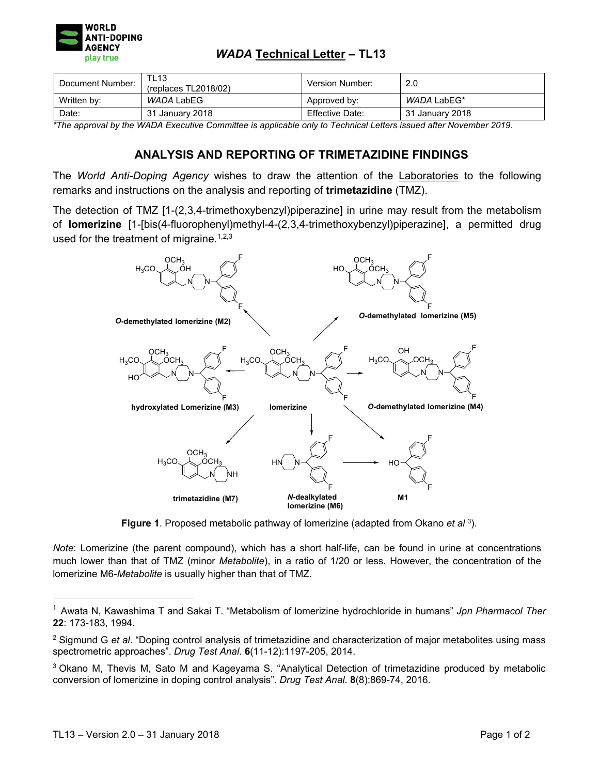

## *WADA* **Technical Letter – TL13**

| Document Number: | <b>TL13</b><br>(replaces TL2018/02) | Version Number: | 2.0             |
|------------------|-------------------------------------|-----------------|-----------------|
| Written by:      | WADA LabEG                          | Approved by:    | WADA LabEG*     |
| Date:            | January 2018<br>31                  | Effective Date: | 31 January 2018 |

*\*The approval by the WADA Executive Committee is applicable only to Technical Letters issued after November 2019.* 

## **ANALYSIS AND REPORTING OF TRIMETAZIDINE FINDINGS**

The *World Anti-Doping Agency* wishes to draw the attention of the Laboratories to the following remarks and instructions on the analysis and reporting of **trimetazidine** (TMZ).

The detection of TMZ [1-(2,3,4-trimethoxybenzyl)piperazine] in urine may result from the metabolism of **lomerizine** [1-[bis(4-fluorophenyl)methyl-4-(2,3,4-trimethoxybenzyl)piperazine], a permitted drug used for the treatment of migraine.<sup>1,2,3</sup>



**Figure 1**. Proposed metabolic pathway of lomerizine (adapted from Okano *et al* 3).

*Note*: Lomerizine (the parent compound), which has a short half-life, can be found in urine at concentrations much lower than that of TMZ (minor *Metabolite*), in a ratio of 1/20 or less. However, the concentration of the lomerizine M6-*Metabolite* is usually higher than that of TMZ.

 $\overline{a}$ 

<sup>1</sup> Awata N, Kawashima T and Sakai T. "Metabolism of lomerizine hydrochloride in humans" *Jpn Pharmacol Ther* **22**: 173-183, 1994.

<sup>2</sup> Sigmund G *et al*. "Doping control analysis of trimetazidine and characterization of major metabolites using mass spectrometric approaches". *Drug Test Anal*. **6**(11-12):1197-205, 2014.

<sup>3</sup> Okano M, Thevis M, Sato M and Kageyama S. "Analytical Detection of trimetazidine produced by metabolic conversion of lomerizine in doping control analysis". *Drug Test Anal*. **8**(8):869-74, 2016.